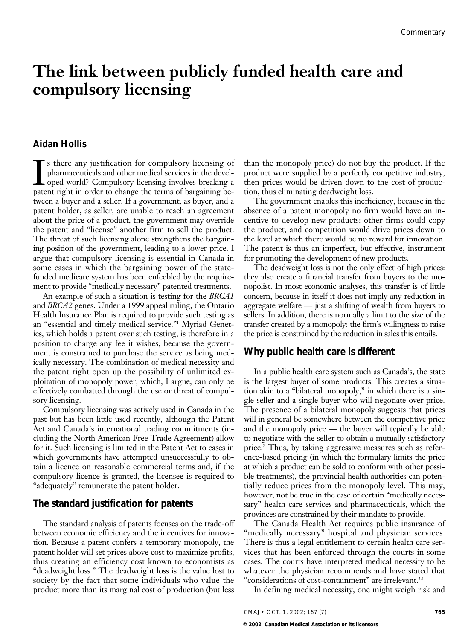# **The link between publicly funded health care and compulsory licensing**

### **Aidan Hollis**

In sthere any justification for compulsory licensing of pharmaceuticals and other medical services in the developed world? Compulsory licensing involves breaking a patent right in order to change the terms of bargaining be s there any justification for compulsory licensing of pharmaceuticals and other medical services in the developed world? Compulsory licensing involves breaking a tween a buyer and a seller. If a government, as buyer, and a patent holder, as seller, are unable to reach an agreement about the price of a product, the government may override the patent and "license" another firm to sell the product. The threat of such licensing alone strengthens the bargaining position of the government, leading to a lower price. I argue that compulsory licensing is essential in Canada in some cases in which the bargaining power of the statefunded medicare system has been enfeebled by the requirement to provide "medically necessary" patented treatments.

An example of such a situation is testing for the *BRCA1* and *BRCA2* genes. Under a 1999 appeal ruling, the Ontario Health Insurance Plan is required to provide such testing as an "essential and timely medical service."1 Myriad Genetics, which holds a patent over such testing, is therefore in a position to charge any fee it wishes, because the government is constrained to purchase the service as being medically necessary. The combination of medical necessity and the patent right open up the possibility of unlimited exploitation of monopoly power, which, I argue, can only be effectively combatted through the use or threat of compulsory licensing.

Compulsory licensing was actively used in Canada in the past but has been little used recently, although the Patent Act and Canada's international trading commitments (including the North American Free Trade Agreement) allow for it. Such licensing is limited in the Patent Act to cases in which governments have attempted unsuccessfully to obtain a licence on reasonable commercial terms and, if the compulsory licence is granted, the licensee is required to "adequately" remunerate the patent holder.

## **The standard justification for patents**

The standard analysis of patents focuses on the trade-off between economic efficiency and the incentives for innovation. Because a patent confers a temporary monopoly, the patent holder will set prices above cost to maximize profits, thus creating an efficiency cost known to economists as "deadweight loss." The deadweight loss is the value lost to society by the fact that some individuals who value the product more than its marginal cost of production (but less than the monopoly price) do not buy the product. If the product were supplied by a perfectly competitive industry, then prices would be driven down to the cost of production, thus eliminating deadweight loss.

The government enables this inefficiency, because in the absence of a patent monopoly no firm would have an incentive to develop new products: other firms could copy the product, and competition would drive prices down to the level at which there would be no reward for innovation. The patent is thus an imperfect, but effective, instrument for promoting the development of new products.

The deadweight loss is not the only effect of high prices: they also create a financial transfer from buyers to the monopolist. In most economic analyses, this transfer is of little concern, because in itself it does not imply any reduction in aggregate welfare — just a shifting of wealth from buyers to sellers. In addition, there is normally a limit to the size of the transfer created by a monopoly: the firm's willingness to raise the price is constrained by the reduction in sales this entails.

#### **Why public health care is different**

In a public health care system such as Canada's, the state is the largest buyer of some products. This creates a situation akin to a "bilateral monopoly," in which there is a single seller and a single buyer who will negotiate over price. The presence of a bilateral monopoly suggests that prices will in general be somewhere between the competitive price and the monopoly price — the buyer will typically be able to negotiate with the seller to obtain a mutually satisfactory price.2 Thus, by taking aggressive measures such as reference-based pricing (in which the formulary limits the price at which a product can be sold to conform with other possible treatments), the provincial health authorities can potentially reduce prices from the monopoly level. This may, however, not be true in the case of certain "medically necessary" health care services and pharmaceuticals, which the provinces are constrained by their mandate to provide.

The Canada Health Act requires public insurance of "medically necessary" hospital and physician services. There is thus a legal entitlement to certain health care services that has been enforced through the courts in some cases. The courts have interpreted medical necessity to be whatever the physician recommends and have stated that "considerations of cost-containment" are irrelevant.<sup>3,4</sup>

In defining medical necessity, one might weigh risk and